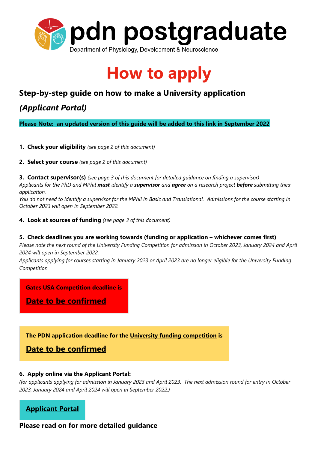

# **How to apply**

## **Step-by-step guide on how to make a University application**

## *(Applicant Portal)*

**Please Note: an updated version of this guide will be added to this link in September 2022**

- **1. Check your eligibility** *(see page 2 of this document)*
- **2. Select your course** *(see page 2 of this document)*

**3. Contact supervisor(s)** *(see page 3 of this document for detailed guidance on finding a supervisor) Applicants for the PhD and MPhil must identify a supervisor and agree on a research project before submitting their application.*

*You do not need to identify a supervisor for the MPhil in Basic and Translational. Admissions for the course starting in October 2023 will open in September 2022.*

- **4. Look at sources of funding** *(see page 3 of this document)*
- **5. Check deadlines you are working towards (funding or application – whichever comes first)**

*Please note the next round of the University Funding Competition for admission in October 2023, January 2024 and April 2024 will open in September 2022.* 

*Applicants applying for courses starting in January 2023 or April 2023 are no longer eligible for the University Funding Competition.*

**Gates USA Competition deadline is**

**[Date to be confirmed](http://2021.postgraduate.study.staging.drupal.uis.cam.ac.uk/funding/how-apply-funding)**

**The PDN application deadline for the [University funding competition](http://2021.postgraduate.study.staging.drupal.uis.cam.ac.uk/funding/how-apply-funding) is**

**[Date to be confirmed](http://2021.postgraduate.study.staging.drupal.uis.cam.ac.uk/funding/how-apply-funding)**

#### **6. Apply online via the Applicant Portal:**

*(for applicants applying for admission in January 2023 and April 2023. The next admission round for entry in October 2023, January 2024 and April 2024 will open in September 2022.)*



**Please read on for more detailed guidance**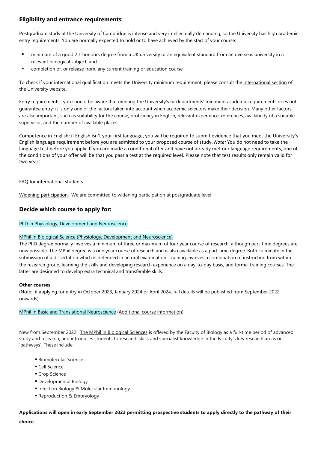#### **Eligibility and entrance requirements:**

Postgraduate study at the University of Cambridge is intense and very intellectually demanding, so the University has high academic entry requirements. You are normally expected to hold or to have achieved by the start of your course:

- minimum of a good 2:1 honours degree from a UK university or an equivalent standard from an overseas university in a relevant biological subject; and
- completion of, or release from, any current training or education course

To check if your international qualification meets the University minimum requirement, please consult the [International section](https://www.graduate.study.cam.ac.uk/international/international-qualifications) of the University website.

[Entry requirements:](https://www.graduate.study.cam.ac.uk/application-process/entry-requirements) you should be aware that meeting the University's or departments' minimum academic requirements does not guarantee entry; it is only one of the factors taken into account when academic selectors make their decision. Many other factors are also important, such as suitability for the course, proficiency in English, relevant experience, references, availability of a suitable supervisor, and the number of available places.

Competence in English: if English isn't your first language, you will be required to submit evidence that you meet the University's English language requirement before you are admitted to your proposed course of study. *Note:* You do not need to take the language test before you apply. If you are made a conditional offer and have not already met our language requirements, one of the conditions of your offer will be that you pass a test at the required level. Please note that test results only remain valid for two years.

#### [FAQ for international students](https://www.graduate.study.cam.ac.uk/find-out-more/applicant-faq/international-students)

[Widening participation:](https://www.postgraduate.study.cam.ac.uk/why-cambridge/support/widening-participation) We are committed to widening participation at postgraduate level.

#### **Decide which course to apply for:**

#### [PhD in Physiology, Development and Neuroscience](http://www.2020.graduate.study.cam.ac.uk/courses/directory/blpdpdpdn)

#### [MPhil in Biological Science \(Physiology, Development and Neuroscience\)](https://www.graduate.study.cam.ac.uk/courses/directory/blpdmpbsc)

The [PhD](https://www.graduate.study.cam.ac.uk/courses/qualifications/phd) degree normally involves a minimum of three or maximum of four year course of research, although [part-time degrees](https://www.postgraduate.study.cam.ac.uk/courses/part-time-study) are now possible. The [MPhil](https://www.graduate.study.cam.ac.uk/courses/qualifications/mphil) degree is a one year course of research and is also available as a part-time degree. Both culminate in the submission of a dissertation which is defended in an oral examination. Training involves a combination of instruction from within the research group, learning the skills and developing research experience on a day-to-day basis, and formal training courses. The latter are designed to develop extra technical and transferable skills.

#### **Other courses**

(Note: if applying for entry in October 2023, January 2024 or April 2024, full details will be published from September 2022 onwards)

#### [MPhil in Basic and Translational Neuroscience](http://www.graduate.study.cam.ac.uk/courses/directory/blpdmpbtn) [\(Additional course information\)](https://www.pdn.cam.ac.uk/postgraduate/btneuroinfo1819)

New from September 2022: [The MPhil in Biological Sciences](https://www.biology.cam.ac.uk/postgraduates/mphil-biological-sciences) is offered by the Faculty of Biology as a full-time period of advanced study and research, and introduces students to research skills and specialist knowledge in the Faculty's key research areas or 'pathways'. These include:

- Biomolecular Science
- Cell Science
- Crop Science
- Developmental Biology
- **Infection Biology & Molecular Immunology**
- Reproduction & Embryology

**Applications will open in early September 2022 permitting prospective students to apply directly to the pathway of their choice.**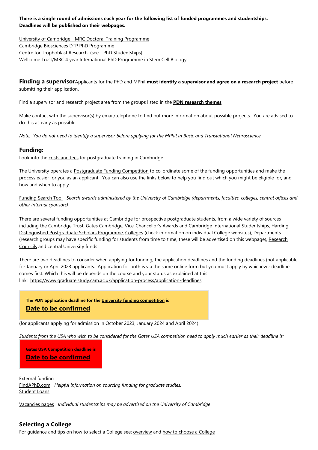#### **There is a single round of admissions each year for the following list of funded programmes and studentships. Deadlines will be published on their webpages.**

University of Cambridge - [MRC Doctoral Training Programme](https://www.postgraduate.study.cam.ac.uk/courses/directory/cvcmpdmsc) [Cambridge Biosciences DTP PhD Programme](https://bbsrcdtp.lifesci.cam.ac.uk/) [Centre for Trophoblast Research](http://www.trophoblast.cam.ac.uk/) (see - PhD Studentships) [Wellcome Trust/MRC 4 year International PhD Programme in Stem Cell Biology](https://www.graduate.study.cam.ac.uk/courses/directory/blscpdscb)

**Finding a supervisor**Applicants for the PhD and MPhil **must identify a supervisor and agree on a research project** before submitting their application.

Find a supervisor and research project area from the groups listed in the **[PDN research themes](https://www.pdn.cam.ac.uk/postgraduate/projects)**

Make contact with the supervisor(s) by email/telephone to find out more information about possible projects. You are advised to do this as early as possible.

*Note: You do not need to identify a supervisor before applying for the MPhil in Basic and Translational Neuroscience*

#### **Funding:**

Look into the [costs and fees](http://www.graduate.study.cam.ac.uk/finance) for postgraduate training in Cambridge.

The University operates a [Postgraduate Funding Competition](http://2021.postgraduate.study.staging.drupal.uis.cam.ac.uk/funding/how-apply-funding) to co-ordinate some of the funding opportunities and make the process easier for you as an applicant. You can also use the links below to help you find out which you might be eligible for, and how and when to apply.

[Funding Search Tool](https://www.student-funding.cam.ac.uk/) *Search awards administered by the University of Cambridge (departments, faculties, colleges, central offices and other internal sponsors)*

There are several funding opportunities at Cambridge for prospective postgraduate students, from a wide variety of sources including the [Cambridge Trust,](https://www.cambridgetrust.org/) [Gates Cambridge,](https://www.gatescambridge.org/) [Vice-Chancellor's Awards and Cambridge International Studentships,](https://www.cambridgetrust.org/scholarships/v-c-awards-and-cambridge-international-scholarships/) Harding [Distinguished Postgraduate Scholars Programme,](https://www.hardingscholars.fund.cam.ac.uk/) [Colleges](https://map.cam.ac.uk/colleges) (check information on individual College websites), Departments (research groups may have specific funding for students from time to time, these will be advertised on this webpage), Research [Councils](file://10.128.2.51/pdn-home/Grad_Info/ADMISSIONS-Postgraduates/Starting%20L22%20-%20E22%20-%20M22/WWW%20FILES%20from%20Summer%202021-22/postgraduate.study.cam.ac.uk/funding/research-council-ukri) and central University funds.

There are two deadlines to consider when applying for funding, the application deadlines and the funding deadlines (not applicable for January or April 2023 applicants. Application for both is via the same online form but you must apply by whichever deadline comes first. Which this will be depends on the course and your status as explained at this link: <https://www.graduate.study.cam.ac.uk/application-process/application-deadlines>

**The PDN application deadline for the [University funding competition](http://2021.postgraduate.study.staging.drupal.uis.cam.ac.uk/funding/how-apply-funding) is [Date to be confirmed](http://2021.postgraduate.study.staging.drupal.uis.cam.ac.uk/funding/how-apply-funding)**

(for applicants applying for admission in October 2023, January 2024 and April 2024)

*Students from the USA who wish to be considered for the Gates USA competition need to apply much earlier as their deadline is:*

**Gates USA Competition deadline is [Date to be confirmed](http://2021.postgraduate.study.staging.drupal.uis.cam.ac.uk/funding/how-apply-funding)**

[External funding](https://www.graduate.study.cam.ac.uk/finance/funding/external-funding) [FindAPhD.com](http://www.findaphd.com/student/funding/funding-1.asp) *Helpful information on sourcing funding for graduate studies.* [Student Loans](https://www.graduate.study.cam.ac.uk/finance/funding/loans)

[Vacancies pages](http://www.jobs.cam.ac.uk/job/?category=6) *Individual studentships may be advertised on the University of Cambridge*

#### **Selecting a College**

For guidance and tips on how to select a College see: [overview](https://www.postgraduate.study.cam.ac.uk/colleges) an[d how to choose a College](https://www.postgraduate.study.cam.ac.uk/colleges/choosing-college)